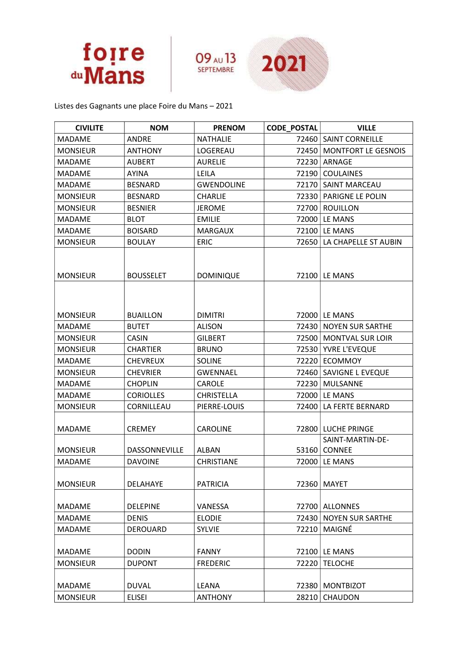



Listes des Gagnants une place Foire du Mans – 2021

| <b>CIVILITE</b> | <b>NOM</b>           | <b>PRENOM</b>     | <b>CODE POSTAL</b> | <b>VILLE</b>                            |
|-----------------|----------------------|-------------------|--------------------|-----------------------------------------|
| <b>MADAME</b>   | <b>ANDRE</b>         | <b>NATHALIE</b>   | 72460              | <b>SAINT CORNEILLE</b>                  |
| <b>MONSIEUR</b> | <b>ANTHONY</b>       | LOGEREAU          | 72450              | <b>MONTFORT LE GESNOIS</b>              |
| <b>MADAME</b>   | <b>AUBERT</b>        | <b>AURELIE</b>    | 72230              | ARNAGE                                  |
| <b>MADAME</b>   | <b>AYINA</b>         | LEILA             | 72190              | <b>COULAINES</b>                        |
| <b>MADAME</b>   | <b>BESNARD</b>       | <b>GWENDOLINE</b> | 72170              | SAINT MARCEAU                           |
| <b>MONSIEUR</b> | <b>BESNARD</b>       | <b>CHARLIE</b>    | 72330              | PARIGNE LE POLIN                        |
| <b>MONSIEUR</b> | <b>BESNIER</b>       | <b>JEROME</b>     | 72700              | <b>ROUILLON</b>                         |
| <b>MADAME</b>   | <b>BLOT</b>          | <b>EMILIE</b>     | 72000              | LE MANS                                 |
| <b>MADAME</b>   | <b>BOISARD</b>       | <b>MARGAUX</b>    | 72100              | LE MANS                                 |
| <b>MONSIEUR</b> | <b>BOULAY</b>        | <b>ERIC</b>       | 72650              | LA CHAPELLE ST AUBIN                    |
| <b>MONSIEUR</b> | <b>BOUSSELET</b>     | <b>DOMINIQUE</b>  | 72100              | LE MANS                                 |
| <b>MONSIEUR</b> | <b>BUAILLON</b>      | <b>DIMITRI</b>    |                    | 72000   LE MANS                         |
| <b>MADAME</b>   | <b>BUTET</b>         | <b>ALISON</b>     | 72430              | <b>NOYEN SUR SARTHE</b>                 |
| <b>MONSIEUR</b> | <b>CASIN</b>         | <b>GILBERT</b>    | 72500              | <b>MONTVAL SUR LOIR</b>                 |
| <b>MONSIEUR</b> | <b>CHARTIER</b>      | <b>BRUNO</b>      | 72530              | YVRE L'EVEQUE                           |
| MADAME          | <b>CHEVREUX</b>      | <b>SOLINE</b>     | 72220              | <b>ECOMMOY</b>                          |
| <b>MONSIEUR</b> | <b>CHEVRIER</b>      | <b>GWENNAEL</b>   | 72460              | SAVIGNE L EVEQUE                        |
| <b>MADAME</b>   | <b>CHOPLIN</b>       | <b>CAROLE</b>     | 72230              | <b>MULSANNE</b>                         |
| <b>MADAME</b>   | <b>CORIOLLES</b>     | <b>CHRISTELLA</b> | 72000              | LE MANS                                 |
| <b>MONSIEUR</b> | CORNILLEAU           | PIERRE-LOUIS      | 72400              | LA FERTE BERNARD                        |
| <b>MADAME</b>   | <b>CREMEY</b>        | <b>CAROLINE</b>   | 72800              | <b>LUCHE PRINGE</b><br>SAINT-MARTIN-DE- |
| <b>MONSIEUR</b> | <b>DASSONNEVILLE</b> | <b>ALBAN</b>      | 53160              | <b>CONNEE</b>                           |
| <b>MADAME</b>   | <b>DAVOINE</b>       | <b>CHRISTIANE</b> | 72000              | LE MANS                                 |
| <b>MONSIEUR</b> | <b>DELAHAYE</b>      | <b>PATRICIA</b>   | 72360              | MAYET                                   |
| <b>MADAME</b>   | <b>DELEPINE</b>      | VANESSA           | 72700              | <b>ALLONNES</b>                         |
| <b>MADAME</b>   | <b>DENIS</b>         | <b>ELODIE</b>     | 72430              | <b>NOYEN SUR SARTHE</b>                 |
| <b>MADAME</b>   | DEROUARD             | <b>SYLVIE</b>     | 72210              | MAIGNÉ                                  |
| MADAME          | <b>DODIN</b>         | <b>FANNY</b>      | 72100              | LE MANS                                 |
| <b>MONSIEUR</b> | <b>DUPONT</b>        | <b>FREDERIC</b>   | 72220              | <b>TELOCHE</b>                          |
| MADAME          | <b>DUVAL</b>         | LEANA             | 72380              | <b>MONTBIZOT</b>                        |
| <b>MONSIEUR</b> | <b>ELISEI</b>        | <b>ANTHONY</b>    | 28210              | <b>CHAUDON</b>                          |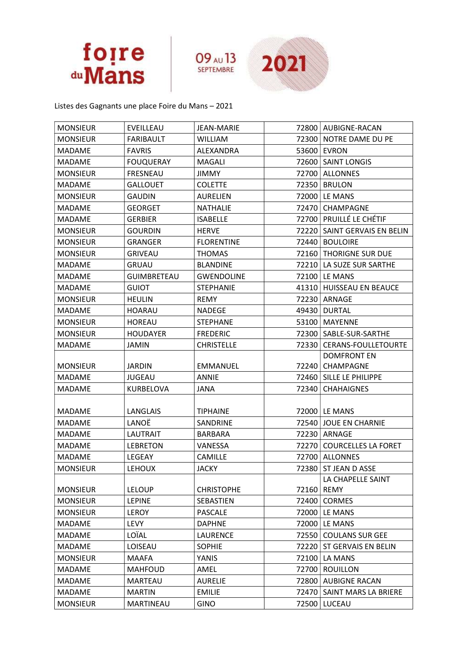



Listes des Gagnants une place Foire du Mans – 2021

| <b>MONSIEUR</b> | EVEILLEAU          | <b>JEAN-MARIE</b> | 72800 | AUBIGNE-RACAN                    |
|-----------------|--------------------|-------------------|-------|----------------------------------|
| <b>MONSIEUR</b> | <b>FARIBAULT</b>   | <b>WILLIAM</b>    | 72300 | NOTRE DAME DU PE                 |
| <b>MADAME</b>   | <b>FAVRIS</b>      | ALEXANDRA         | 53600 | <b>EVRON</b>                     |
| <b>MADAME</b>   | <b>FOUQUERAY</b>   | MAGALI            | 72600 | <b>SAINT LONGIS</b>              |
| <b>MONSIEUR</b> | <b>FRESNEAU</b>    | <b>JIMMY</b>      | 72700 | <b>ALLONNES</b>                  |
| <b>MADAME</b>   | <b>GALLOUET</b>    | <b>COLETTE</b>    | 72350 | <b>BRULON</b>                    |
| <b>MONSIEUR</b> | <b>GAUDIN</b>      | <b>AURELIEN</b>   | 72000 | LE MANS                          |
| <b>MADAME</b>   | <b>GEORGET</b>     | <b>NATHALIE</b>   | 72470 | <b>CHAMPAGNE</b>                 |
| <b>MADAME</b>   | <b>GERBIER</b>     | <b>ISABELLE</b>   | 72700 | PRUILLÉ LE CHÉTIF                |
| <b>MONSIEUR</b> | <b>GOURDIN</b>     | <b>HERVE</b>      | 72220 | SAINT GERVAIS EN BELIN           |
| <b>MONSIEUR</b> | <b>GRANGER</b>     | <b>FLORENTINE</b> | 72440 | <b>BOULOIRE</b>                  |
| <b>MONSIEUR</b> | <b>GRIVEAU</b>     | <b>THOMAS</b>     | 72160 | THORIGNE SUR DUE                 |
| <b>MADAME</b>   | <b>GRUAU</b>       | <b>BLANDINE</b>   | 72210 | LA SUZE SUR SARTHE               |
| <b>MADAME</b>   | <b>GUIMBRETEAU</b> | <b>GWENDOLINE</b> | 72100 | LE MANS                          |
| <b>MADAME</b>   | <b>GUIOT</b>       | <b>STEPHANIE</b>  | 41310 | HUISSEAU EN BEAUCE               |
| <b>MONSIEUR</b> | <b>HEULIN</b>      | <b>REMY</b>       | 72230 | ARNAGE                           |
| <b>MADAME</b>   | <b>HOARAU</b>      | <b>NADEGE</b>     | 49430 | <b>DURTAL</b>                    |
| <b>MONSIEUR</b> | <b>HOREAU</b>      | <b>STEPHANE</b>   | 53100 | MAYENNE                          |
| <b>MONSIEUR</b> | <b>HOUDAYER</b>    | <b>FREDERIC</b>   | 72300 | SABLE-SUR-SARTHE                 |
| <b>MADAME</b>   | JAMIN              | <b>CHRISTELLE</b> | 72330 | <b>CERANS-FOULLETOURTE</b>       |
|                 |                    |                   |       | <b>DOMFRONT EN</b>               |
| <b>MONSIEUR</b> | <b>JARDIN</b>      | <b>EMMANUEL</b>   | 72240 | CHAMPAGNE                        |
| <b>MADAME</b>   | <b>JUGEAU</b>      | <b>ANNIE</b>      | 72460 | SILLE LE PHILIPPE                |
| <b>MADAME</b>   | KURBELOVA          | <b>JANA</b>       | 72340 | <b>CHAHAIGNES</b>                |
|                 |                    |                   |       |                                  |
| <b>MADAME</b>   | LANGLAIS           | <b>TIPHAINE</b>   |       | 72000   LE MANS                  |
| <b>MADAME</b>   | LANOË              | SANDRINE          | 72540 | <b>JOUE EN CHARNIE</b>           |
| MADAME          | <b>LAUTRAIT</b>    | <b>BARBARA</b>    | 72230 | ARNAGE                           |
| <b>MADAME</b>   | <b>LEBRETON</b>    | VANESSA           | 72270 | <b>COURCELLES LA FORET</b>       |
| <b>MADAME</b>   | <b>LEGEAY</b>      | CAMILLE           | 72700 | <b>ALLONNES</b>                  |
| <b>MONSIEUR</b> | LEHOUX             | <b>JACKY</b>      |       | 72380 ST JEAN D ASSE             |
| <b>MONSIEUR</b> | <b>LELOUP</b>      | <b>CHRISTOPHE</b> | 72160 | LA CHAPELLE SAINT<br><b>REMY</b> |
| <b>MONSIEUR</b> | <b>LEPINE</b>      | SEBASTIEN         | 72400 | CORMES                           |
| <b>MONSIEUR</b> | <b>LEROY</b>       | <b>PASCALE</b>    | 72000 | LE MANS                          |
| <b>MADAME</b>   | LEVY               | <b>DAPHNE</b>     | 72000 | LE MANS                          |
| <b>MADAME</b>   | LOÏAL              | <b>LAURENCE</b>   | 72550 | <b>COULANS SUR GEE</b>           |
| <b>MADAME</b>   | LOISEAU            | <b>SOPHIE</b>     | 72220 | ST GERVAIS EN BELIN              |
| <b>MONSIEUR</b> | <b>MAAFA</b>       | YANIS             | 72100 | LA MANS                          |
| MADAME          | <b>MAHFOUD</b>     | AMEL              | 72700 | <b>ROUILLON</b>                  |
| <b>MADAME</b>   | <b>MARTEAU</b>     | <b>AURELIE</b>    | 72800 | <b>AUBIGNE RACAN</b>             |
| MADAME          | <b>MARTIN</b>      | <b>EMILIE</b>     | 72470 | SAINT MARS LA BRIERE             |
| <b>MONSIEUR</b> | MARTINEAU          | <b>GINO</b>       | 72500 | LUCEAU                           |